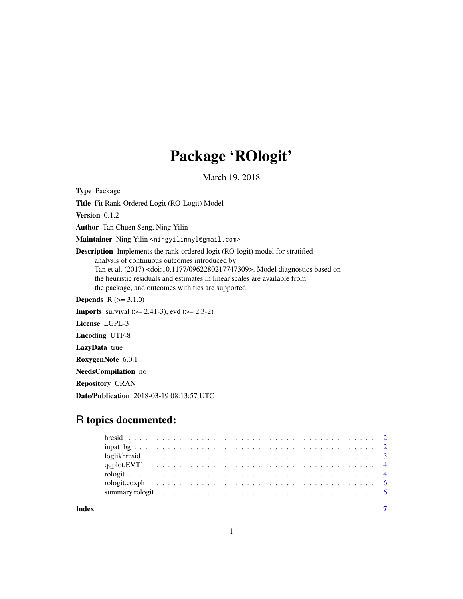## Package 'ROlogit'

March 19, 2018

<span id="page-0-0"></span>Type Package

Title Fit Rank-Ordered Logit (RO-Logit) Model

Version 0.1.2

Author Tan Chuen Seng, Ning Yilin

Maintainer Ning Yilin <ningyilinnyl@gmail.com>

Description Implements the rank-ordered logit (RO-logit) model for stratified analysis of continuous outcomes introduced by Tan et al. (2017) <doi:10.1177/0962280217747309>. Model diagnostics based on the heuristic residuals and estimates in linear scales are available from the package, and outcomes with ties are supported.

**Depends**  $R (= 3.1.0)$ 

**Imports** survival  $(>= 2.41-3)$ , evd  $(>= 2.3-2)$ 

License LGPL-3

Encoding UTF-8

LazyData true

RoxygenNote 6.0.1

NeedsCompilation no

Repository CRAN

Date/Publication 2018-03-19 08:13:57 UTC

### R topics documented:

**Index** [7](#page-6-0)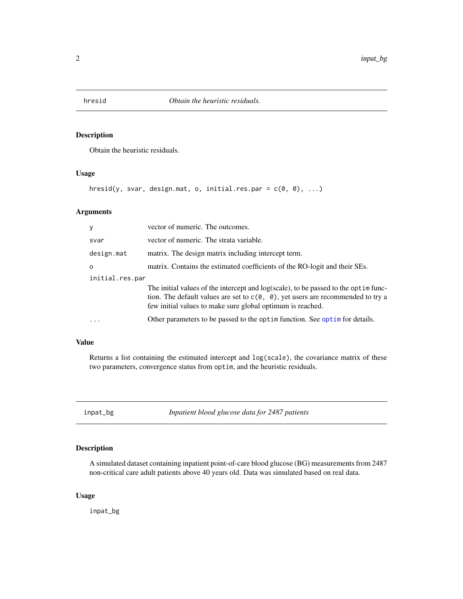<span id="page-1-0"></span>

#### Description

Obtain the heuristic residuals.

#### Usage

```
hresid(y, svar, design.mat, o, initial.res.par = c(\emptyset, \emptyset), ...)
```
#### Arguments

| y               | vector of numeric. The outcomes.                                                                                                                                                                                                                     |
|-----------------|------------------------------------------------------------------------------------------------------------------------------------------------------------------------------------------------------------------------------------------------------|
| svar            | vector of numeric. The strata variable.                                                                                                                                                                                                              |
| design.mat      | matrix. The design matrix including intercept term.                                                                                                                                                                                                  |
| $\Omega$        | matrix. Contains the estimated coefficients of the RO-logit and their SEs.                                                                                                                                                                           |
| initial.res.par |                                                                                                                                                                                                                                                      |
|                 | The initial values of the intercept and $log(scale)$ , to be passed to the optim func-<br>tion. The default values are set to $c(\theta, \theta)$ , yet users are recommended to try a<br>few initial values to make sure global optimum is reached. |
| $\ddots$        | Other parameters to be passed to the optim function. See optim for details.                                                                                                                                                                          |
|                 |                                                                                                                                                                                                                                                      |

#### Value

Returns a list containing the estimated intercept and log(scale), the covariance matrix of these two parameters, convergence status from optim, and the heuristic residuals.

inpat\_bg *Inpatient blood glucose data for 2487 patients*

#### Description

A simulated dataset containing inpatient point-of-care blood glucose (BG) measurements from 2487 non-critical care adult patients above 40 years old. Data was simulated based on real data.

#### Usage

inpat\_bg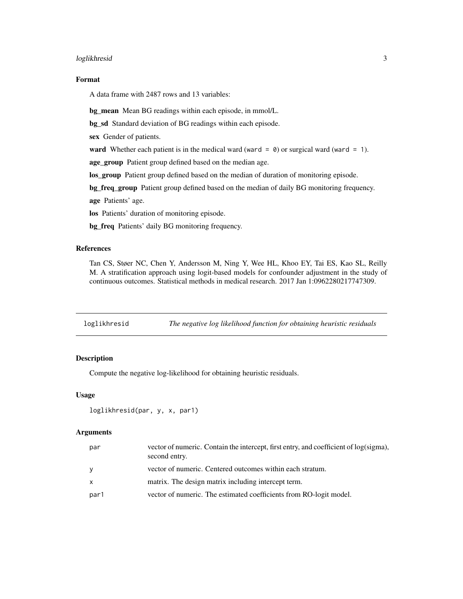#### <span id="page-2-0"></span>loglikhresid 3

#### Format

A data frame with 2487 rows and 13 variables:

bg\_mean Mean BG readings within each episode, in mmol/L.

bg\_sd Standard deviation of BG readings within each episode.

sex Gender of patients.

ward Whether each patient is in the medical ward (ward =  $\theta$ ) or surgical ward (ward = 1).

age\_group Patient group defined based on the median age.

los\_group Patient group defined based on the median of duration of monitoring episode.

bg\_freq\_group Patient group defined based on the median of daily BG monitoring frequency.

age Patients' age.

los Patients' duration of monitoring episode.

bg\_freq Patients' daily BG monitoring frequency.

#### References

Tan CS, Støer NC, Chen Y, Andersson M, Ning Y, Wee HL, Khoo EY, Tai ES, Kao SL, Reilly M. A stratification approach using logit-based models for confounder adjustment in the study of continuous outcomes. Statistical methods in medical research. 2017 Jan 1:0962280217747309.

loglikhresid *The negative log likelihood function for obtaining heuristic residuals*

#### Description

Compute the negative log-likelihood for obtaining heuristic residuals.

#### Usage

```
loglikhresid(par, y, x, par1)
```
#### Arguments

| par          | vector of numeric. Contain the intercept, first entry, and coefficient of log(sigma),<br>second entry. |
|--------------|--------------------------------------------------------------------------------------------------------|
| <b>V</b>     | vector of numeric. Centered outcomes within each stratum.                                              |
| $\mathsf{x}$ | matrix. The design matrix including intercept term.                                                    |
| par1         | vector of numeric. The estimated coefficients from RO-logit model.                                     |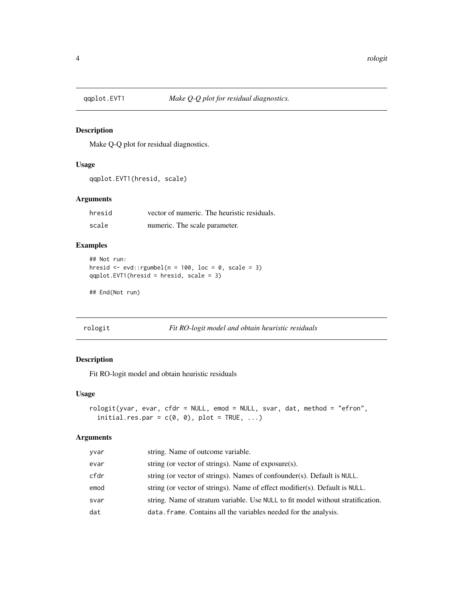#### Description

Make Q-Q plot for residual diagnostics.

#### Usage

```
qqplot.EVT1(hresid, scale)
```
#### Arguments

| hresid | vector of numeric. The heuristic residuals. |
|--------|---------------------------------------------|
| scale  | numeric. The scale parameter.               |

#### Examples

```
## Not run:
hresid \leq evd::rgumbel(n = 100, loc = 0, scale = 3)
qqplot.EVT1(hresid = hresid, scale = 3)
```
## End(Not run)

```
rologit Fit RO-logit model and obtain heuristic residuals
```
#### Description

Fit RO-logit model and obtain heuristic residuals

#### Usage

```
rologit(yvar, evar, cfdr = NULL, emod = NULL, svar, dat, method = "efron",
 initial.res.par = c(0, 0), plot = TRUE, ...)
```
#### Arguments

| yvar | string. Name of outcome variable.                                               |
|------|---------------------------------------------------------------------------------|
| evar | string (or vector of strings). Name of $exposure(s)$ .                          |
| cfdr | string (or vector of strings). Names of confounder(s). Default is NULL.         |
| emod | string (or vector of strings). Name of effect modifier(s). Default is $NULL$ .  |
| svar | string. Name of stratum variable. Use NULL to fit model without stratification. |
| dat  | data. frame. Contains all the variables needed for the analysis.                |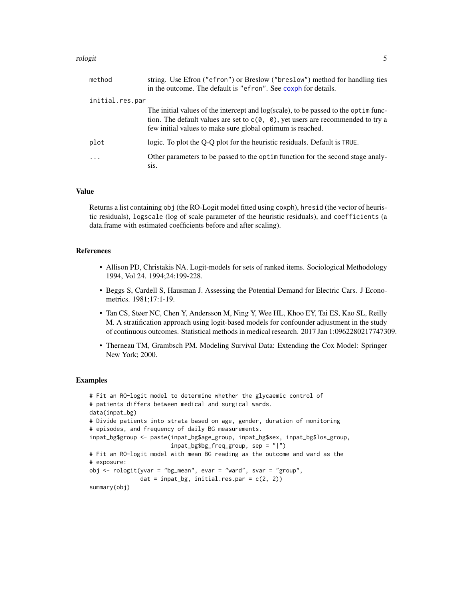#### <span id="page-4-0"></span>rologit 5 and 5 and 5 and 5 and 5 and 5 and 5 and 5 and 5 and 5 and 5 and 5 and 5 and 5 and 5 and 5 and 5 and 5

| method          | string. Use Efron ("efron") or Breslow ("breslow") method for handling ties<br>in the outcome. The default is "efron". See coxph for details.                                                                                             |
|-----------------|-------------------------------------------------------------------------------------------------------------------------------------------------------------------------------------------------------------------------------------------|
| initial.res.par |                                                                                                                                                                                                                                           |
|                 | The initial values of the intercept and log(scale), to be passed to the optimulation-<br>tion. The default values are set to $c(0, 0)$ , yet users are recommended to try a<br>few initial values to make sure global optimum is reached. |
| plot            | logic. To plot the Q-Q plot for the heuristic residuals. Default is TRUE.                                                                                                                                                                 |
| $\ddots$ .      | Other parameters to be passed to the optim function for the second stage analy-<br>Sis.                                                                                                                                                   |

#### Value

Returns a list containing obj (the RO-Logit model fitted using coxph), hresid (the vector of heuristic residuals), logscale (log of scale parameter of the heuristic residuals), and coefficients (a data.frame with estimated coefficients before and after scaling).

#### References

- Allison PD, Christakis NA. Logit-models for sets of ranked items. Sociological Methodology 1994, Vol 24. 1994;24:199-228.
- Beggs S, Cardell S, Hausman J. Assessing the Potential Demand for Electric Cars. J Econometrics. 1981;17:1-19.
- Tan CS, Støer NC, Chen Y, Andersson M, Ning Y, Wee HL, Khoo EY, Tai ES, Kao SL, Reilly M. A stratification approach using logit-based models for confounder adjustment in the study of continuous outcomes. Statistical methods in medical research. 2017 Jan 1:0962280217747309.
- Therneau TM, Grambsch PM. Modeling Survival Data: Extending the Cox Model: Springer New York; 2000.

#### Examples

```
# Fit an RO-logit model to determine whether the glycaemic control of
# patients differs between medical and surgical wards.
data(inpat_bg)
# Divide patients into strata based on age, gender, duration of monitoring
# episodes, and frequency of daily BG measurements.
inpat_bg$group <- paste(inpat_bg$age_group, inpat_bg$sex, inpat_bg$los_group,
                        inpat_bg$bg_freq_group, sep = "|")
# Fit an RO-logit model with mean BG reading as the outcome and ward as the
# exposure:
obj <- rologit(yvar = "bg_mean", evar = "ward", svar = "group",
               dat = input_bg, initial,res.par = c(2, 2)summary(obj)
```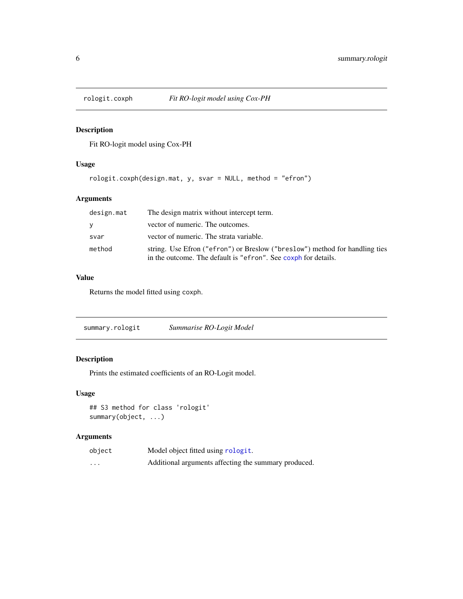<span id="page-5-0"></span>

#### Description

Fit RO-logit model using Cox-PH

#### Usage

```
rologit.coxph(design.mat, y, svar = NULL, method = "efron")
```
#### Arguments

| design.mat | The design matrix without intercept term.                                                                                                     |
|------------|-----------------------------------------------------------------------------------------------------------------------------------------------|
| <b>V</b>   | vector of numeric. The outcomes.                                                                                                              |
| svar       | vector of numeric. The strata variable.                                                                                                       |
| method     | string. Use Efron ("efron") or Breslow ("breslow") method for handling ties<br>in the outcome. The default is "efron". See coxph for details. |

#### Value

Returns the model fitted using coxph.

| summary.rologit | Summarise RO-Logit Model |  |
|-----------------|--------------------------|--|
|-----------------|--------------------------|--|

#### Description

Prints the estimated coefficients of an RO-Logit model.

#### Usage

## S3 method for class 'rologit' summary(object, ...)

#### Arguments

| object   | Model object fitted using rologit.                   |
|----------|------------------------------------------------------|
| $\cdots$ | Additional arguments affecting the summary produced. |